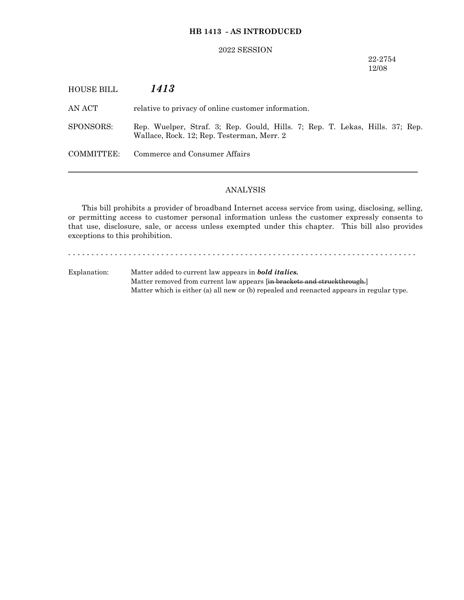### **HB 1413 - AS INTRODUCED**

#### 2022 SESSION

### 22-2754 12/08

HOUSE BILL *1413* AN ACT relative to privacy of online customer information. SPONSORS: Rep. Wuelper, Straf. 3; Rep. Gould, Hills. 7; Rep. T. Lekas, Hills. 37; Rep. Wallace, Rock. 12; Rep. Testerman, Merr. 2 COMMITTEE: Commerce and Consumer Affairs ─────────────────────────────────────────────────────────────────

### ANALYSIS

This bill prohibits a provider of broadband Internet access service from using, disclosing, selling, or permitting access to customer personal information unless the customer expressly consents to that use, disclosure, sale, or access unless exempted under this chapter. This bill also provides exceptions to this prohibition.

- - - - - - - - - - - - - - - - - - - - - - - - - - - - - - - - - - - - - - - - - - - - - - - - - - - - - - - - - - - - - - - - - - - - - - - - - - -

Explanation: Matter added to current law appears in *bold italics.* Matter removed from current law appears [in brackets and struckthrough.] Matter which is either (a) all new or (b) repealed and reenacted appears in regular type.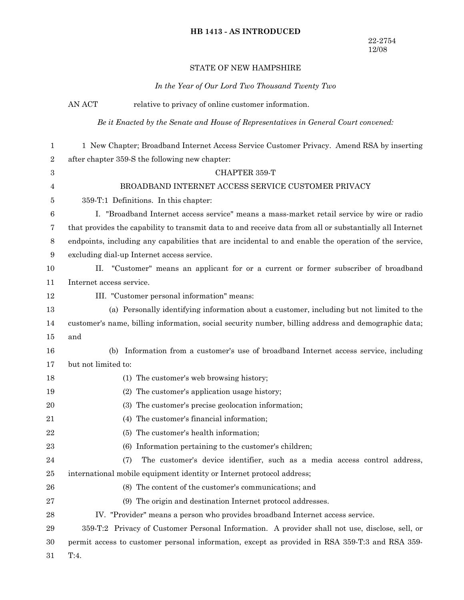# **HB 1413 - AS INTRODUCED**

## STATE OF NEW HAMPSHIRE

*In the Year of Our Lord Two Thousand Twenty Two*

|                | AN ACT                                                                                                   | relative to privacy of online customer information.                                                   |  |
|----------------|----------------------------------------------------------------------------------------------------------|-------------------------------------------------------------------------------------------------------|--|
|                | Be it Enacted by the Senate and House of Representatives in General Court convened:                      |                                                                                                       |  |
| 1              |                                                                                                          | 1 New Chapter; Broadband Internet Access Service Customer Privacy. Amend RSA by inserting             |  |
| $\overline{2}$ | after chapter 359-S the following new chapter:                                                           |                                                                                                       |  |
| 3              |                                                                                                          | CHAPTER 359-T                                                                                         |  |
| 4              |                                                                                                          | BROADBAND INTERNET ACCESS SERVICE CUSTOMER PRIVACY                                                    |  |
| 5              |                                                                                                          | 359-T:1 Definitions. In this chapter:                                                                 |  |
| 6              |                                                                                                          | I. "Broadband Internet access service" means a mass-market retail service by wire or radio            |  |
| 7              | that provides the capability to transmit data to and receive data from all or substantially all Internet |                                                                                                       |  |
| 8              |                                                                                                          | endpoints, including any capabilities that are incidental to and enable the operation of the service, |  |
| 9              |                                                                                                          | excluding dial-up Internet access service.                                                            |  |
| 10             | II.                                                                                                      | "Customer" means an applicant for or a current or former subscriber of broadband                      |  |
| 11             | Internet access service.                                                                                 |                                                                                                       |  |
| 12             |                                                                                                          | III. "Customer personal information" means:                                                           |  |
| 13             |                                                                                                          | (a) Personally identifying information about a customer, including but not limited to the             |  |
| 14             |                                                                                                          | customer's name, billing information, social security number, billing address and demographic data;   |  |
| 15             | and                                                                                                      |                                                                                                       |  |
| 16             | (b)                                                                                                      | Information from a customer's use of broadband Internet access service, including                     |  |
| 17             | but not limited to:                                                                                      |                                                                                                       |  |
| 18             |                                                                                                          | (1) The customer's web browsing history;                                                              |  |
| 19             |                                                                                                          | (2) The customer's application usage history;                                                         |  |
| 20             |                                                                                                          | The customer's precise geolocation information;<br>(3)                                                |  |
| 21             |                                                                                                          | The customer's financial information;<br>(4)                                                          |  |
| 22             |                                                                                                          | (5) The customer's health information;                                                                |  |
| 23             |                                                                                                          | (6) Information pertaining to the customer's children;                                                |  |
| 24             |                                                                                                          | The customer's device identifier, such as a media access control address,<br>(7)                      |  |
| 25             |                                                                                                          | international mobile equipment identity or Internet protocol address;                                 |  |
| 26             |                                                                                                          | (8) The content of the customer's communications; and                                                 |  |
| 27             |                                                                                                          | (9) The origin and destination Internet protocol addresses.                                           |  |
| 28             |                                                                                                          | IV. "Provider" means a person who provides broadband Internet access service.                         |  |
| 29             |                                                                                                          | 359-T:2 Privacy of Customer Personal Information. A provider shall not use, disclose, sell, or        |  |
| 30             |                                                                                                          | permit access to customer personal information, except as provided in RSA 359-T:3 and RSA 359-        |  |
| 31             | T:4.                                                                                                     |                                                                                                       |  |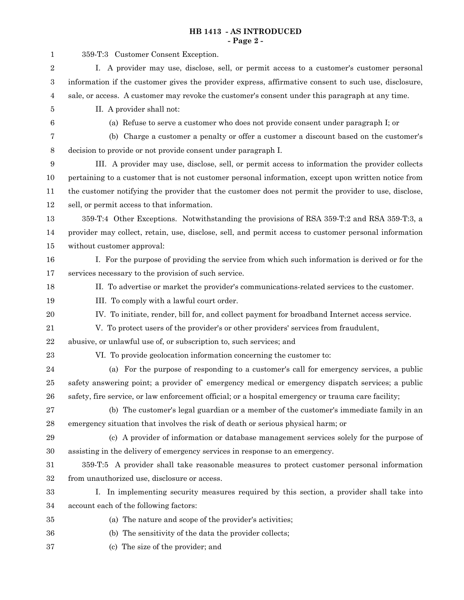### **HB 1413 - AS INTRODUCED - Page 2 -**

| $\mathbf{1}$     | 359-T:3 Customer Consent Exception.                                                                   |  |  |
|------------------|-------------------------------------------------------------------------------------------------------|--|--|
| $\,2$            | I. A provider may use, disclose, sell, or permit access to a customer's customer personal             |  |  |
| $\,3$            | information if the customer gives the provider express, affirmative consent to such use, disclosure,  |  |  |
| $\overline{4}$   | sale, or access. A customer may revoke the customer's consent under this paragraph at any time.       |  |  |
| $\bf 5$          | II. A provider shall not:                                                                             |  |  |
| 6                | (a) Refuse to serve a customer who does not provide consent under paragraph I; or                     |  |  |
| 7                | (b) Charge a customer a penalty or offer a customer a discount based on the customer's                |  |  |
| $8\phantom{1}$   | decision to provide or not provide consent under paragraph I.                                         |  |  |
| $\boldsymbol{9}$ | III. A provider may use, disclose, sell, or permit access to information the provider collects        |  |  |
| 10               | pertaining to a customer that is not customer personal information, except upon written notice from   |  |  |
| 11               | the customer notifying the provider that the customer does not permit the provider to use, disclose,  |  |  |
| 12               | sell, or permit access to that information.                                                           |  |  |
| 13               | 359-T:4 Other Exceptions. Notwithstanding the provisions of RSA 359-T:2 and RSA 359-T:3, a            |  |  |
| 14               | provider may collect, retain, use, disclose, sell, and permit access to customer personal information |  |  |
| 15               | without customer approval:                                                                            |  |  |
| 16               | I. For the purpose of providing the service from which such information is derived or for the         |  |  |
| 17               | services necessary to the provision of such service.                                                  |  |  |
| 18               | II. To advertise or market the provider's communications-related services to the customer.            |  |  |
| 19               | III. To comply with a lawful court order.                                                             |  |  |
| $20\,$           | IV. To initiate, render, bill for, and collect payment for broadband Internet access service.         |  |  |
| 21               | V. To protect users of the provider's or other providers' services from fraudulent,                   |  |  |
| $\bf{22}$        | abusive, or unlawful use of, or subscription to, such services; and                                   |  |  |
| 23               | VI. To provide geolocation information concerning the customer to:                                    |  |  |
| $\bf{24}$        | (a) For the purpose of responding to a customer's call for emergency services, a public               |  |  |
| $25\,$           | safety answering point; a provider of emergency medical or emergency dispatch services; a public      |  |  |
| ${\bf 26}$       | safety, fire service, or law enforcement official; or a hospital emergency or trauma care facility;   |  |  |
| $\sqrt{27}$      | (b) The customer's legal guardian or a member of the customer's immediate family in an                |  |  |
| $\bf{28}$        | emergency situation that involves the risk of death or serious physical harm; or                      |  |  |
| 29               | (c) A provider of information or database management services solely for the purpose of               |  |  |
| 30               | assisting in the delivery of emergency services in response to an emergency.                          |  |  |
| 31               | 359-T:5 A provider shall take reasonable measures to protect customer personal information            |  |  |
| 32               | from unauthorized use, disclosure or access.                                                          |  |  |
| 33               | I. In implementing security measures required by this section, a provider shall take into             |  |  |
| 34               | account each of the following factors:                                                                |  |  |
| 35               | (a) The nature and scope of the provider's activities;                                                |  |  |
| 36               | (b) The sensitivity of the data the provider collects;                                                |  |  |
| 37               | (c) The size of the provider; and                                                                     |  |  |